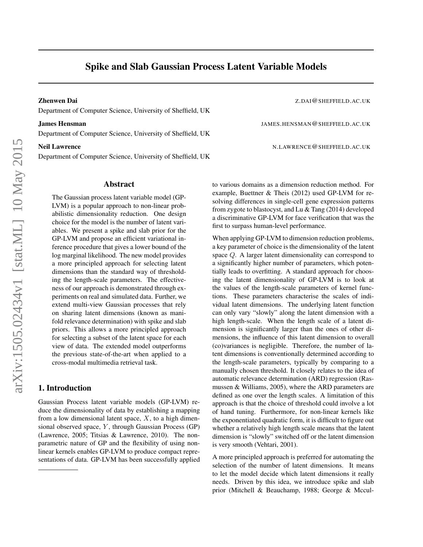# Spike and Slab Gaussian Process Latent Variable Models

Department of Computer Science, University of Sheffield, UK

Department of Computer Science, University of Sheffield, UK

Department of Computer Science, University of Sheffield, UK

### Abstract

The Gaussian process latent variable model (GP-LVM) is a popular approach to non-linear probabilistic dimensionality reduction. One design choice for the model is the number of latent variables. We present a spike and slab prior for the GP-LVM and propose an efficient variational inference procedure that gives a lower bound of the log marginal likelihood. The new model provides a more principled approach for selecting latent dimensions than the standard way of thresholding the length-scale parameters. The effectiveness of our approach is demonstrated through experiments on real and simulated data. Further, we extend multi-view Gaussian processes that rely on sharing latent dimensions (known as manifold relevance determination) with spike and slab priors. This allows a more principled approach for selecting a subset of the latent space for each view of data. The extended model outperforms the previous state-of-the-art when applied to a cross-modal multimedia retrieval task.

## 1. Introduction

Gaussian Process latent variable models (GP-LVM) reduce the dimensionality of data by establishing a mapping from a low dimensional latent space,  $X$ , to a high dimensional observed space,  $Y$ , through Gaussian Process (GP) (Lawrence, 2005; Titsias & Lawrence, 2010). The nonparametric nature of GP and the flexibility of using nonlinear kernels enables GP-LVM to produce compact representations of data. GP-LVM has been successfully applied

Zhenwen Dai Z.DAI@SHEFFIELD.AC.UK

**James Hensman** JAMES.HENSMAN@SHEFFIELD.AC.UK

Neil Lawrence N.LAWRENCE@SHEFFIELD.AC.UK

to various domains as a dimension reduction method. For example, Buettner & Theis (2012) used GP-LVM for resolving differences in single-cell gene expression patterns from zygote to blastocyst, and Lu & Tang (2014) developed a discriminative GP-LVM for face verification that was the first to surpass human-level performance.

When applying GP-LVM to dimension reduction problems, a key parameter of choice is the dimensionality of the latent space Q. A larger latent dimensionality can correspond to a significantly higher number of parameters, which potentially leads to overfitting. A standard approach for choosing the latent dimensionality of GP-LVM is to look at the values of the length-scale parameters of kernel functions. These parameters characterise the scales of individual latent dimensions. The underlying latent function can only vary "slowly" along the latent dimension with a high length-scale. When the length scale of a latent dimension is significantly larger than the ones of other dimensions, the influence of this latent dimension to overall (co)variances is negligible. Therefore, the number of latent dimensions is conventionally determined according to the length-scale parameters, typically by comparing to a manually chosen threshold. It closely relates to the idea of automatic relevance determination (ARD) regression (Rasmussen & Williams, 2005), where the ARD parameters are defined as one over the length scales. A limitation of this approach is that the choice of threshold could involve a lot of hand tuning. Furthermore, for non-linear kernels like the exponentiated quadratic form, it is difficult to figure out whether a relatively high length scale means that the latent dimension is "slowly" switched off or the latent dimension is very smooth (Vehtari, 2001).

A more principled approach is preferred for automating the selection of the number of latent dimensions. It means to let the model decide which latent dimensions it really needs. Driven by this idea, we introduce spike and slab prior (Mitchell & Beauchamp, 1988; George & Mccul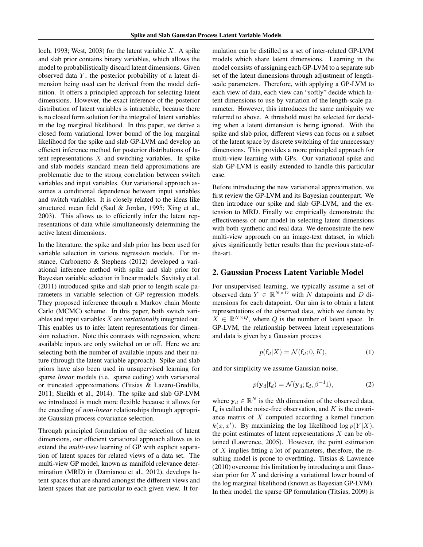loch, 1993; West, 2003) for the latent variable  $X$ . A spike and slab prior contains binary variables, which allows the model to probabilistically discard latent dimensions. Given observed data  $Y$ , the posterior probability of a latent dimension being used can be derived from the model definition. It offers a principled approach for selecting latent dimensions. However, the exact inference of the posterior distribution of latent variables is intractable, because there is no closed form solution for the integral of latent variables in the log marginal likelihood. In this paper, we derive a closed form variational lower bound of the log marginal likelihood for the spike and slab GP-LVM and develop an efficient inference method for posterior distributions of latent representations  $X$  and switching variables. In spike and slab models standard mean field approximations are problematic due to the strong correlation between switch variables and input variables. Our variational approach assumes a conditional dependence between input variables and switch variables. It is closely related to the ideas like structured mean field (Saul & Jordan, 1995; Xing et al., 2003). This allows us to efficiently infer the latent representations of data while simultaneously determining the active latent dimensions.

In the literature, the spike and slab prior has been used for variable selection in various regression models. For instance, Carbonetto & Stephens (2012) developed a variational inference method with spike and slab prior for Bayesian variable selection in linear models. Savitsky et al. (2011) introduced spike and slab prior to length scale parameters in variable selection of GP regression models. They proposed inference through a Markov chain Monte Carlo (MCMC) scheme. In this paper, both switch variables and input variables X are *variationally* integrated out. This enables us to infer latent representations for dimension reduction. Note this contrasts with regression, where available inputs are only switched on or off. Here we are selecting both the number of available inputs and their nature (through the latent variable approach). Spike and slab priors have also been used in unsupervised learning for sparse *linear* models (i.e. sparse coding) with variational or truncated approximations (Titsias & Lazaro-Gredilla, 2011; Sheikh et al., 2014). The spike and slab GP-LVM we introduced is much more flexible because it allows for the encoding of *non-linear* relationships through appropriate Gaussian process covariance selection.

Through principled formulation of the selection of latent dimensions, our efficient variational approach allows us to extend the *multi-view* learning of GP with explicit separation of latent spaces for related views of a data set. The multi-view GP model, known as manifold relevance determination (MRD) in (Damianou et al., 2012), develops latent spaces that are shared amongst the different views and latent spaces that are particular to each given view. It formulation can be distilled as a set of inter-related GP-LVM models which share latent dimensions. Learning in the model consists of assigning each GP-LVM to a separate sub set of the latent dimensions through adjustment of lengthscale parameters. Therefore, with applying a GP-LVM to each view of data, each view can "softly" decide which latent dimensions to use by variation of the length-scale parameter. However, this introduces the same ambiguity we referred to above. A threshold must be selected for deciding when a latent dimension is being ignored. With the spike and slab prior, different views can focus on a subset of the latent space by discrete switching of the unnecessary dimensions. This provides a more principled approach for multi-view learning with GPs. Our variational spike and slab GP-LVM is easily extended to handle this particular case.

Before introducing the new variational approximation, we first review the GP-LVM and its Bayesian counterpart. We then introduce our spike and slab GP-LVM, and the extension to MRD. Finally we empirically demonstrate the effectiveness of our model in selecting latent dimensions with both synthetic and real data. We demonstrate the new multi-view approach on an image-text dataset, in which gives significantly better results than the previous state-ofthe-art.

#### 2. Gaussian Process Latent Variable Model

For unsupervised learning, we typically assume a set of observed data  $Y \in \mathbb{R}^{N \times D}$  with N datapoints and D dimensions for each datapoint. Our aim is to obtain a latent representations of the observed data, which we denote by  $X \in \mathbb{R}^{N \times Q}$ , where Q is the number of latent space. In GP-LVM, the relationship between latent representations and data is given by a Gaussian process

$$
p(\mathbf{f}_d|X) = \mathcal{N}(\mathbf{f}_d; 0, K),\tag{1}
$$

and for simplicity we assume Gaussian noise,

$$
p(\mathbf{y}_d|\mathbf{f}_d) = \mathcal{N}(\mathbf{y}_d; \mathbf{f}_d, \beta^{-1} \mathbb{I}),
$$
\n(2)

where  $y_d \in \mathbb{R}^N$  is the *d*th dimension of the observed data,  $f_d$  is called the noise-free observation, and K is the covariance matrix of X computed according a kernel function  $k(x, x')$ . By maximizing the log likelihood log  $p(Y|X)$ , the point estimates of latent representations  $X$  can be obtained (Lawrence, 2005). However, the point estimation of X implies fitting a lot of parameters, therefore, the resulting model is prone to overfitting. Titsias & Lawrence (2010) overcome this limitation by introducing a unit Gaussian prior for  $X$  and deriving a variational lower bound of the log marginal likelihood (known as Bayesian GP-LVM). In their model, the sparse GP formulation (Titsias, 2009) is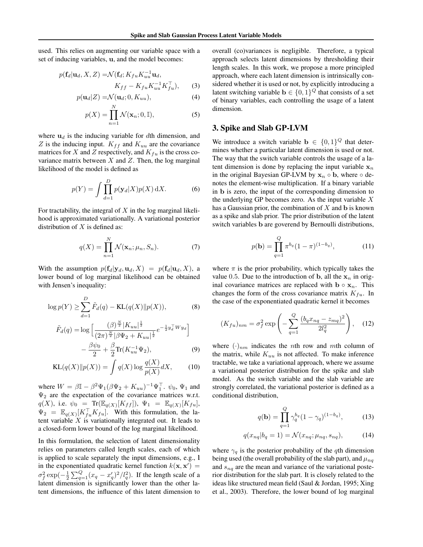used. This relies on augmenting our variable space with a set of inducing variables, u, and the model becomes:

$$
p(\mathbf{f}_d|\mathbf{u}_d, X, Z) = \mathcal{N}(\mathbf{f}_d; K_{fu} K_{uu}^{-1} \mathbf{u}_d, K_{ff} - K_{fu} K_{uu}^{-1} K_{fu}^\top),
$$
 (3)

$$
p(\mathbf{u}_d|Z) = \mathcal{N}(\mathbf{u}_d; 0, K_{uu}),
$$
\n<sup>(4)</sup>

$$
p(X) = \prod_{n=1}^{N} \mathcal{N}(\mathbf{x}_n; \mathbf{0}, \mathbb{I}),
$$
 (5)

where  $u_d$  is the inducing variable for dth dimension, and Z is the inducing input.  $K_{ff}$  and  $K_{uu}$  are the covariance matrices for X and Z respectively, and  $K_{fu}$  is the cross covariance matrix between  $X$  and  $Z$ . Then, the log marginal likelihood of the model is defined as

$$
p(Y) = \int \prod_{d=1}^{D} p(\mathbf{y}_d | X) p(X) \,dX.
$$
 (6)

For tractability, the integral of  $X$  in the log marginal likelihood is approximated variationally. A variational posterior distribution of  $X$  is defined as:

$$
q(X) = \prod_{n=1}^{N} \mathcal{N}(\mathbf{x}_n; \mu_n, S_n).
$$
 (7)

With the assumption  $p(\mathbf{f}_d|\mathbf{y}_d, \mathbf{u}_d, X) = p(\mathbf{f}_d|\mathbf{u}_d, X)$ , a lower bound of log marginal likelihood can be obtained with Jensen's inequality:

$$
\log p(Y) \ge \sum_{d=1}^{D} \tilde{F}_d(q) - \text{KL}(q(X) || p(X)),
$$
 (8)

$$
\tilde{F}_d(q) = \log \left[ \frac{(\beta)^{\frac{N}{2}} |K_{uu}|^{\frac{1}{2}}}{(2\pi)^{\frac{N}{2}} |\beta \Psi_2 + K_{uu}|^{\frac{1}{2}}} e^{-\frac{1}{2}y_d^{\top} W y_d} \right] \n- \frac{\beta \psi_0}{2} + \frac{\beta}{2} \text{Tr}(K_{uu}^{-1} \Psi_2),
$$
\n(9)

$$
KL(q(X)||p(X)) = \int q(X) \log \frac{q(X)}{p(X)} dX, \qquad (10)
$$

where  $W = \beta \mathbb{I} - \beta^2 \Psi_1 (\beta \Psi_2 + K_{uu})^{-1} \Psi_1^{\top}$ .  $\psi_0$ ,  $\Psi_1$  and  $\Psi_2$  are the expectation of the covariance matrices w.r.t.  $q(X)$ , i.e.  $\psi_0 = \text{Tr}(\mathbb{E}_{q(X)}[K_{ff}])$ ,  $\Psi_1 = \mathbb{E}_{q(X)}[K_{fu}]$ ,  $\Psi_2 = \mathbb{E}_{q(X)} [K_{fu}^\top K_{fu}]$ . With this formulation, the latent variable  $X$  is variationally integrated out. It leads to a closed-form lower bound of the log marginal likelihood.

In this formulation, the selection of latent dimensionality relies on parameters called length scales, each of which is applied to scale separately the input dimensions, e.g., l in the exponentiated quadratic kernel function  $k(\mathbf{x}, \mathbf{x}') =$  $\sigma_f^2 \exp(-\frac{1}{2} \sum_{q=1}^Q (x_q - x_q')^2 / l_q^2)$ . If the length scale of a latent dimension is significantly lower than the other latent dimensions, the influence of this latent dimension to overall (co)variances is negligible. Therefore, a typical approach selects latent dimensions by thresholding their length scales. In this work, we propose a more principled approach, where each latent dimension is intrinsically considered whether it is used or not, by explicitly introducing a latent switching variable  $\mathbf{b} \in \{0,1\}^Q$  that consists of a set of binary variables, each controlling the usage of a latent dimension.

# 3. Spike and Slab GP-LVM

We introduce a switch variable **b**  $\in \{0, 1\}^Q$  that determines whether a particular latent dimension is used or not. The way that the switch variable controls the usage of a latent dimension is done by replacing the input variable  $x_n$ in the original Bayesian GP-LVM by  $x_n \circ b$ , where  $\circ$  denotes the element-wise multiplication. If a binary variable in b is zero, the input of the corresponding dimension to the underlying GP becomes zero. As the input variable  $X$ has a Gaussian prior, the combination of  $X$  and  $b$  is known as a spike and slab prior. The prior distribution of the latent switch variables b are goverend by Bernoulli distributions,

$$
p(\mathbf{b}) = \prod_{q=1}^{Q} \pi^{b_q} (1 - \pi)^{(1 - b_q)}, \tag{11}
$$

where  $\pi$  is the prior probability, which typically takes the value 0.5. Due to the introduction of b, all the  $x_n$  in original covariance matrices are replaced with  $\mathbf{b} \circ \mathbf{x}_n$ . This changes the form of the cross covariance matrix  $K_{fu}$ . In the case of the exponentiated quadratic kernel it becomes

$$
(K_{fu})_{nm} = \sigma_f^2 \exp\left(-\sum_{q=1}^{Q} \frac{(b_q x_{nq} - z_{mq})^2}{2l_q^2}\right), \quad (12)
$$

where  $(\cdot)_{nm}$  indicates the *n*th row and *mth* column of the matrix, while  $K_{uu}$  is not affected. To make inference tractable, we take a variational approach, where we assume a variational posterior distribution for the spike and slab model. As the switch variable and the slab variable are strongly correlated, the variational posterior is defined as a conditional distribution,

$$
q(\mathbf{b}) = \prod_{q=1}^{Q} \gamma_q^{b_q} (1 - \gamma_q)^{(1 - b_q)}, \qquad (13)
$$

$$
q(x_{nq}|b_q=1) = \mathcal{N}(x_{nq}; \mu_{nq}, s_{nq}), \tag{14}
$$

where  $\gamma_q$  is the posterior probability of the qth dimension being used (the overall probability of the slab part), and  $\mu_{nq}$ and  $s_{nq}$  are the mean and variance of the variational posterior distribution for the slab part. It is closely related to the ideas like structured mean field (Saul & Jordan, 1995; Xing et al., 2003). Therefore, the lower bound of log marginal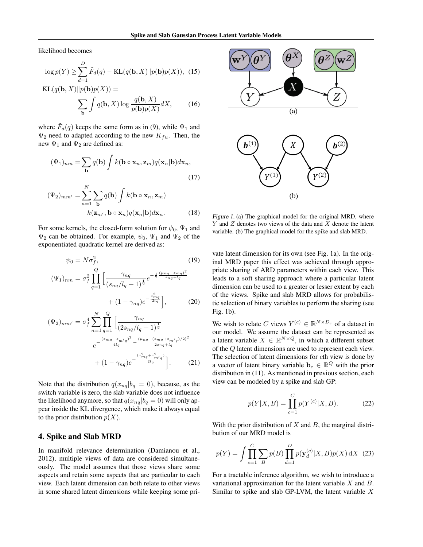likelihood becomes

$$
\log p(Y) \ge \sum_{d=1}^{D} \tilde{F}_d(q) - \text{KL}(q(\mathbf{b}, X) || p(\mathbf{b}) p(X)), \tag{15}
$$

$$
KL(q(\mathbf{b}, X) || p(\mathbf{b})p(X)) = \sum_{\mathbf{b}} \int q(\mathbf{b}, X) \log \frac{q(\mathbf{b}, X)}{p(\mathbf{b})p(X)} dX,
$$
 (16)

where  $\tilde{F}_d(q)$  keeps the same form as in (9), while  $\Psi_1$  and  $\Psi_2$  need to adapted according to the new  $K_{fu}$ . Then, the new  $\Psi_1$  and  $\Psi_2$  are defined as:

$$
(\Psi_1)_{nm} = \sum_{\mathbf{b}} q(\mathbf{b}) \int k(\mathbf{b} \circ \mathbf{x}_n, \mathbf{z}_m) q(\mathbf{x}_n | \mathbf{b}) d\mathbf{x}_n,
$$
\n(17)

$$
(\Psi_2)_{mm'} = \sum_{n=1}^{N} \sum_{\mathbf{b}} q(\mathbf{b}) \int k(\mathbf{b} \circ \mathbf{x}_n, \mathbf{z}_m)
$$

$$
k(\mathbf{z}_{m'}, \mathbf{b} \circ \mathbf{x}_n) q(\mathbf{x}_n | \mathbf{b}) d\mathbf{x}_n.
$$
 (18)

For some kernels, the closed-form solution for  $\psi_0$ ,  $\Psi_1$  and  $\Psi_2$  can be obtained. For example,  $\psi_0$ ,  $\Psi_1$  and  $\Psi_2$  of the exponentiated quadratic kernel are derived as:

$$
\psi_0 = N\sigma_f^2, \tag{19}
$$
\n
$$
(\Psi_1)_{nm} = \sigma_f^2 \prod_{q=1}^Q \left[ \frac{\gamma_{nq}}{(s_{nq}/l_q + 1)^{\frac{1}{2}}} e^{-\frac{1}{2} \frac{(\mu_{nq} - z_{mq})^2}{s_{nq} + l_q}} + (1 - \gamma_{nq}) e^{-\frac{z_{mq}^2}{2l_q}} \right], \tag{20}
$$

$$
(\Psi_2)_{mm'} = \sigma_f^4 \sum_{n=1}^N \prod_{q=1}^Q \left[ \frac{\gamma_{nq}}{(2s_{nq}/l_q + 1)^{\frac{1}{2}}} \right]
$$

$$
e^{-\frac{(z_{mq} - z_{m'q})^2}{4l_q} - \frac{(\mu_{nq} - (z_{mq} + z_{m'q})/2)^2}{2s_{nq} + l_q}}
$$

$$
+ (1 - \gamma_{nq}) e^{-\frac{(z_{mq}^2 + z_{m'q}^2)}{2l_q}}.
$$
 (21)

Note that the distribution  $q(x_{nq}|b_q = 0)$ , because, as the switch variable is zero, the slab variable does not influence the likelihood anymore, so that  $q(x_{nq}|b_q = 0)$  will only appear inside the KL divergence, which make it always equal to the prior distribution  $p(X)$ .

# 4. Spike and Slab MRD

In manifold relevance determination (Damianou et al., 2012), multiple views of data are considered simultaneously. The model assumes that those views share some aspects and retain some aspects that are particular to each view. Each latent dimension can both relate to other views in some shared latent dimensions while keeping some pri-



Figure 1. (a) The graphical model for the original MRD, where  $Y$  and  $Z$  denotes two views of the data and  $X$  denote the latent variable. (b) The graphical model for the spike and slab MRD.

vate latent dimension for its own (see Fig. 1a). In the original MRD paper this effect was achieved through appropriate sharing of ARD parameters within each view. This leads to a soft sharing approach where a particular latent dimension can be used to a greater or lesser extent by each of the views. Spike and slab MRD allows for probabilistic selection of binary variables to perform the sharing (see Fig. 1b).

We wish to relate C views  $Y^{(c)} \in \mathbb{R}^{N \times D_c}$  of a dataset in our model. We assume the dataset can be represented as a latent variable  $X \in \mathbb{R}^{N \times Q}$ , in which a different subset of the Q latent dimensions are used to represent each view. The selection of latent dimensions for cth view is done by a vector of latent binary variable  $\mathbf{b}_c \in \mathbb{R}^Q$  with the prior distribution in (11). As mentioned in previous section, each view can be modeled by a spike and slab GP:

$$
p(Y|X,B) = \prod_{c=1}^{C} p(Y^{(c)}|X,B).
$$
 (22)

With the prior distribution of  $X$  and  $B$ , the marginal distribution of our MRD model is

$$
p(Y) = \int \prod_{c=1}^{C} \sum_{B} p(B) \prod_{d=1}^{D} p(\mathbf{y}_d^{(c)} | X, B) p(X) \, dX \tag{23}
$$

For a tractable inference algorithm, we wish to introduce a variational approximation for the latent variable  $X$  and  $B$ . Similar to spike and slab GP-LVM, the latent variable  $X$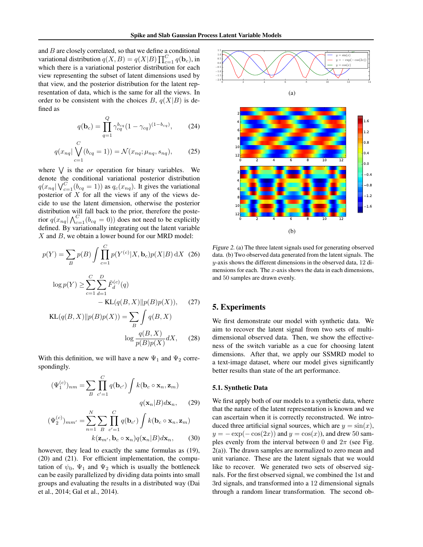and  $B$  are closely correlated, so that we define a conditional variational distribution  $q(X, B) = q(X|B) \prod_{c=1}^{C} q(\mathbf{b}_c)$ , in which there is a variational posterior distribution for each view representing the subset of latent dimensions used by that view, and the posterior distribution for the latent representation of data, which is the same for all the views. In order to be consistent with the choices  $B, q(X|B)$  is defined as

$$
q(\mathbf{b}_c) = \prod_{q=1}^{Q} \gamma_{cq}^{b_{cq}} (1 - \gamma_{cq})^{(1 - b_{cq})}, \qquad (24)
$$

$$
q(x_{nq} | \bigvee_{c=1}^{C} (b_{cq} = 1)) = \mathcal{N}(x_{nq}; \mu_{nq}, s_{nq}), \qquad (25)
$$

where  $\bigvee$  is the *or* operation for binary variables. We denote the conditional variational posterior distribution  $q(x_{nq} | V_{c=1}^C(b_{cq} = 1))$  as  $q_c(x_{nq})$ . It gives the variational posterior of  $X$  for all the views if any of the views decide to use the latent dimension, otherwise the posterior distribution will fall back to the prior, therefore the posterior  $q(x_{nq} | \bigwedge_{c=1}^{C} (b_{cq} = 0))$  does not need to be explicitly defined. By variationally integrating out the latent variable  $X$  and  $B$ , we obtain a lower bound for our MRD model:

$$
p(Y) = \sum_{B} p(B) \int \prod_{c=1}^{C} p(Y^{(c)} | X, \mathbf{b}_c) p(X | B) \, dX \tag{26}
$$

$$
\log p(Y) \ge \sum_{c=1}^{C} \sum_{d=1}^{D} \tilde{F}_d^{(c)}(q) - \text{KL}(q(B, X) || p(B)p(X)), \quad (27)
$$

$$
KL(q(B, X) || p(B)p(X)) = \sum_{B} \int q(B, X)
$$

$$
\log \frac{q(B, X)}{p(B)p(X)} dX, \quad (28)
$$

With this definition, we will have a new  $\Psi_1$  and  $\Psi_2$  correspondingly.

$$
(\Psi_1^{(c)})_{nm} = \sum_{B} \prod_{c'=1}^{C} q(\mathbf{b}_{c'}) \int k(\mathbf{b}_c \circ \mathbf{x}_n, \mathbf{z}_m)
$$

$$
q(\mathbf{x}_n|B) d\mathbf{x}_n, \qquad (29)
$$

$$
(\Psi_2^{(c)})_{mm'} = \sum_{n=1}^{N} \sum_{B} \prod_{c'=1}^{C} q(\mathbf{b}_{c'}) \int k(\mathbf{b}_c \circ \mathbf{x}_n, \mathbf{z}_m)
$$

$$
k(\mathbf{z}_{m'}, \mathbf{b}_c \circ \mathbf{x}_n) q(\mathbf{x}_n|B) d\mathbf{x}_n, \qquad (30)
$$

however, they lead to exactly the same formulas as (19), (20) and (21). For efficient implementation, the computation of  $\psi_0$ ,  $\Psi_1$  and  $\Psi_2$  which is usually the bottleneck can be easily parallelized by dividing data points into small groups and evaluating the results in a distributed way (Dai et al., 2014; Gal et al., 2014).



(a)



Figure 2. (a) The three latent signals used for generating observed data. (b) Two observed data generated from the latent signals. The y-axis shows the different dimensions in the observed data, 12 dimensions for each. The  $x$ -axis shows the data in each dimensions, and 50 samples are drawn evenly.

# 5. Experiments

We first demonstrate our model with synthetic data. We aim to recover the latent signal from two sets of multidimensional observed data. Then, we show the effectiveness of the switch variable as a cue for choosing latent dimensions. After that, we apply our SSMRD model to a text-image dataset, where our model gives significantly better results than state of the art performance.

## 5.1. Synthetic Data

We first apply both of our models to a synthetic data, where that the nature of the latent representation is known and we can ascertain when it is correctly reconstructed. We introduced three artificial signal sources, which are  $y = sin(x)$ ,  $y = -\exp(-\cos(2x))$  and  $y = \cos(x)$ , and drew 50 samples evenly from the interval between 0 and  $2\pi$  (see Fig. 2(a)). The drawn samples are normalized to zero mean and unit variance. These are the latent signals that we would like to recover. We generated two sets of observed signals. For the first observed signal, we combined the 1st and 3rd signals, and transformed into a 12 dimensional signals through a random linear transformation. The second ob-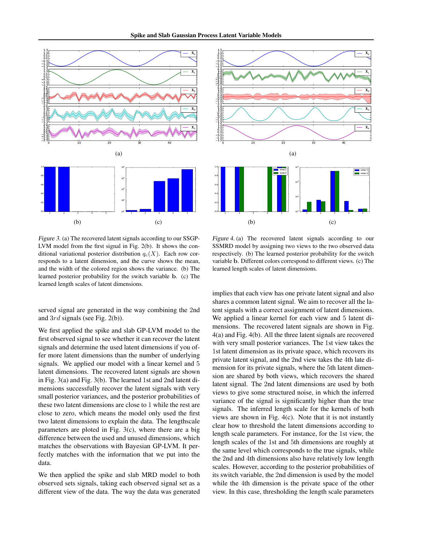



Figure 3. (a) The recovered latent signals according to our SSGP-LVM model from the first signal in Fig. 2(b). It shows the conditional variational posterior distribution  $q_c(X)$ . Each row corresponds to a latent dimension, and the curve shows the mean, and the width of the colored region shows the variance. (b) The learned posterior probability for the switch variable b. (c) The learned length scales of latent dimensions.

served signal are generated in the way combining the 2nd and 3rd signals (see Fig. 2(b)).

We first applied the spike and slab GP-LVM model to the first observed signal to see whether it can recover the latent signals and determine the used latent dimensions if you offer more latent dimensions than the number of underlying signals. We applied our model with a linear kernel and 5 latent dimensions. The recovered latent signals are shown in Fig. 3(a) and Fig. 3(b). The learned 1st and 2nd latent dimensions successfully recover the latent signals with very small posterior variances, and the posterior probabilities of these two latent dimensions are close to 1 while the rest are close to zero, which means the model only used the first two latent dimensions to explain the data. The lengthscale parameters are ploted in Fig. 3(c), where there are a big difference between the used and unused dimensions, which matches the observations with Bayesian GP-LVM. It perfectly matches with the information that we put into the data.

We then applied the spike and slab MRD model to both observed sets signals, taking each observed signal set as a different view of the data. The way the data was generated



Figure 4. (a) The recovered latent signals according to our SSMRD model by assigning two views to the two observed data respectively. (b) The learned posterior probability for the switch variable b. Different colors correspond to different views. (c) The learned length scales of latent dimensions.

implies that each view has one private latent signal and also shares a common latent signal. We aim to recover all the latent signals with a correct assignment of latent dimensions. We applied a linear kernel for each view and 5 latent dimensions. The recovered latent signals are shown in Fig. 4(a) and Fig. 4(b). All the three latent signals are recovered with very small posterior variances. The 1st view takes the 1st latent dimension as its private space, which recovers its private latent signal, and the 2nd view takes the 4th late dimension for its private signals, where the 5th latent dimension are shared by both views, which recovers the shared latent signal. The 2nd latent dimensions are used by both views to give some structured noise, in which the inferred variance of the signal is significantly higher than the true signals. The inferred length scale for the kernels of both views are shown in Fig. 4(c). Note that it is not instantly clear how to threshold the latent dimensions according to length scale parameters. For instance, for the 1st view, the length scales of the 1st and 5th dimensions are roughly at the same level which corresponds to the true signals, while the 2nd and 4th dimensions also have relatively low length scales. However, according to the posterior probabilities of its switch variable, the 2nd dimension is used by the model while the 4th dimension is the private space of the other view. In this case, thresholding the length scale parameters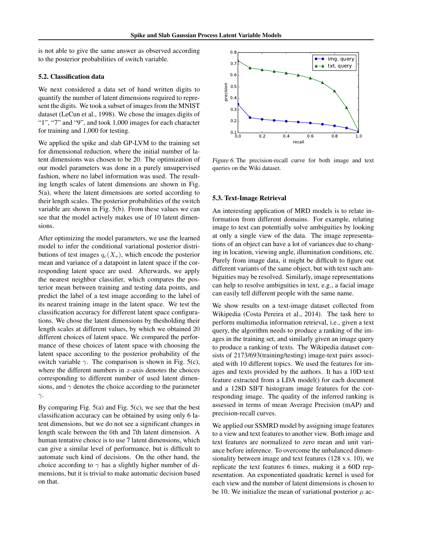is not able to give the same answer as observed according to the posterior probabilities of switch variable.

#### 5.2. Classification data

We next considered a data set of hand written digits to quantify the number of latent dimensions required to represent the digits. We took a subset of images from the MNIST dataset (LeCun et al., 1998). We chose the images digits of "1", "7" and "9", and took 1,000 images for each character for training and 1,000 for testing.

We applied the spike and slab GP-LVM to the training set for dimensional reduction, where the initial number of latent dimensions was chosen to be 20. The optimization of our model parameters was done in a purely unsupervised fashion, where no label information was used. The resulting length scales of latent dimensions are shown in Fig. 5(a), where the latent dimensions are sorted according to their length scales. The posterior probabilities of the switch variable are shown in Fig. 5(b). From these values we can see that the model actively makes use of 10 latent dimensions.

After optimizing the model parameters, we use the learned model to infer the conditional variational posterior distributions of test images  $q_c(X_*)$ , which encode the posterior mean and variance of a datapoint in latent space if the corresponding latent space are used. Afterwards, we apply the nearest neighbor classifier, which compares the posterior mean between training and testing data points, and predict the label of a test image according to the label of its nearest training image in the latent space. We test the classification accuracy for different latent space configurations. We chose the latent dimensions by thesholding their length scales at different values, by which we obtained 20 different choices of latent space. We compared the performance of these choices of latent space with choosing the latent space according to the posterior probability of the switch variable  $\gamma$ . The comparison is shown in Fig. 5(c), where the different numbers in  $x$ -axis denotes the choices corresponding to different number of used latent dimensions, and  $\gamma$  denotes the choice according to the parameter γ.

By comparing Fig. 5(a) and Fig. 5(c), we see that the best classification accuracy can be obtained by using only 6 latent dimensions, but we do not see a significant changes in length scale between the 6th and 7th latent dimension. A human tentative choice is to use 7 latent dimensions, which can give a similar level of performance, but is difficult to automate such kind of decisions. On the other hand, the choice according to  $\gamma$  has a slightly higher number of dimensions, but it is trivial to make automatic decision based on that.



Figure 6. The precision-recall curve for both image and text queries on the Wiki dataset.

#### 5.3. Text-Image Retrieval

An interesting application of MRD models is to relate information from different domains. For example, relating image to text can potentially solve ambiguities by looking at only a single view of the data. The image representations of an object can have a lot of variances due to changing in location, viewing angle, illumination conditions, etc. Purely from image data, it might be difficult to figure out different variants of the same object, but with text such ambiguities may be resolved. Similarly, image representations can help to resolve ambiguities in text, e.g., a facial image can easily tell different people with the same name.

We show results on a text-image dataset collected from Wikipedia (Costa Pereira et al., 2014). The task here to perform multimedia information retrieval, i.e., given a text query, the algorithm needs to produce a ranking of the images in the training set, and similarly given an image query to produce a ranking of texts. The Wikipedia dataset consists of 2173/693(training/testing) image-text pairs associated with 10 different topics. We used the features for images and texts provided by the authors. It has a 10D text feature extracted from a LDA model() for each document and a 128D SIFT histogram image features for the corresponding image. The quality of the inferred ranking is assessed in terms of mean Average Precision (mAP) and precision-recall curves.

We applied our SSMRD model by assigning image features to a view and text features to another view. Both image and text features are normalized to zero mean and unit variance before inference. To overcome the unbalanced dimensionality between image and text features (128 v.s. 10), we replicate the text features 6 times, making it a 60D representation. An exponentiated quadratic kernel is used for each view and the number of latent dimensions is chosen to be 10. We initialize the mean of variational posterior  $\mu$  ac-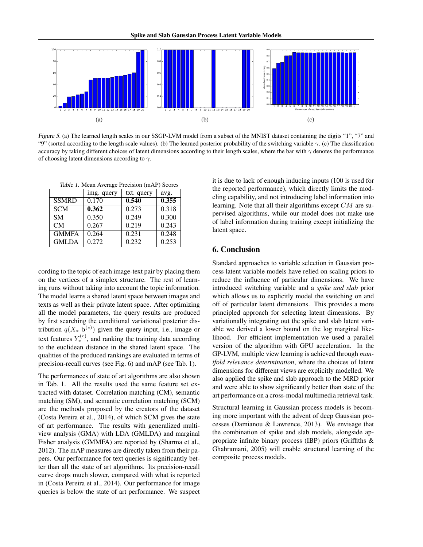

Figure 5. (a) The learned length scales in our SSGP-LVM model from a subset of the MNIST dataset containing the digits "1", "7" and "9" (sorted according to the length scale values). (b) The learned posterior probability of the switching variable  $\gamma$ . (c) The classification accuracy by taking different choices of latent dimensions according to their length scales, where the bar with  $\gamma$  denotes the performance of choosing latent dimensions according to  $\gamma$ .

|  |  |  | Table 1. Mean Average Precision (mAP) Scores |  |  |
|--|--|--|----------------------------------------------|--|--|
|--|--|--|----------------------------------------------|--|--|

|              | img. query | txt. query | avg.  |
|--------------|------------|------------|-------|
| <b>SSMRD</b> | 0.170      | 0.540      | 0.355 |
| <b>SCM</b>   | 0.362      | 0.273      | 0.318 |
| <b>SM</b>    | 0.350      | 0.249      | 0.300 |
| CM           | 0.267      | 0.219      | 0.243 |
| <b>GMMFA</b> | 0.264      | 0.231      | 0.248 |
| <b>GMLDA</b> | 0.272      | 0.232      | 0.253 |

cording to the topic of each image-text pair by placing them on the vertices of a simplex structure. The rest of learning runs without taking into account the topic information. The model learns a shared latent space between images and texts as well as their private latent space. After optimizing all the model parameters, the query results are produced by first searching the conditional variational posterior distribution  $q(X_{*}|\mathbf{b}^{(c)})$  given the query input, i.e., image or text features  $Y_*^{(c)}$ , and ranking the training data according to the euclidean distance in the shared latent space. The qualities of the produced rankings are evaluated in terms of precision-recall curves (see Fig. 6) and mAP (see Tab. 1).

The performances of state of art algorithms are also shown in Tab. 1. All the results used the same feature set extracted with dataset. Correlation matching (CM), semantic matching (SM), and semantic correlation matching (SCM) are the methods proposed by the creators of the dataset (Costa Pereira et al., 2014), of which SCM gives the state of art performance. The results with generalized multiview analysis (GMA) with LDA (GMLDA) and marginal Fisher analysis (GMMFA) are reported by (Sharma et al., 2012). The mAP measures are directly taken from their papers. Our performance for text queries is significantly better than all the state of art algorithms. Its precision-recall curve drops much slower, compared with what is reported in (Costa Pereira et al., 2014). Our performance for image queries is below the state of art performance. We suspect

it is due to lack of enough inducing inputs (100 is used for the reported performance), which directly limits the modeling capability, and not introducing label information into learning. Note that all their algorithms except CM are supervised algorithms, while our model does not make use of label information during training except initializing the latent space.

# 6. Conclusion

Standard approaches to variable selection in Gaussian process latent variable models have relied on scaling priors to reduce the influence of particular dimensions. We have introduced switching variable and a *spike and slab* prior which allows us to explicitly model the switching on and off of particular latent dimensions. This provides a more principled approach for selecting latent dimensions. By variationally integrating out the spike and slab latent variable we derived a lower bound on the log marginal likelihood. For efficient implementation we used a parallel version of the algorithm with GPU acceleration. In the GP-LVM, multiple view learning is achieved through *manifold relevance determination*, where the choices of latent dimensions for different views are explicitly modelled. We also applied the spike and slab approach to the MRD prior and were able to show significantly better than state of the art performance on a cross-modal multimedia retrieval task.

Structural learning in Gaussian process models is becoming more important with the advent of deep Gaussian processes (Damianou & Lawrence, 2013). We envisage that the combination of spike and slab models, alongside appropriate infinite binary process (IBP) priors (Griffiths & Ghahramani, 2005) will enable structural learning of the composite process models.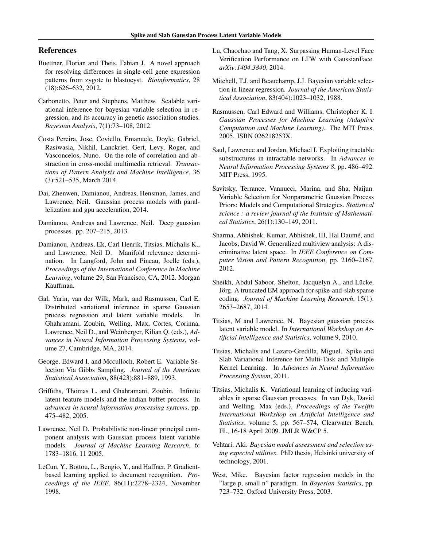# References

- Buettner, Florian and Theis, Fabian J. A novel approach for resolving differences in single-cell gene expression patterns from zygote to blastocyst. *Bioinformatics*, 28 (18):626–632, 2012.
- Carbonetto, Peter and Stephens, Matthew. Scalable variational inference for bayesian variable selection in regression, and its accuracy in genetic association studies. *Bayesian Analysis*, 7(1):73–108, 2012.
- Costa Pereira, Jose, Coviello, Emanuele, Doyle, Gabriel, Rasiwasia, Nikhil, Lanckriet, Gert, Levy, Roger, and Vasconcelos, Nuno. On the role of correlation and abstraction in cross-modal multimedia retrieval. *Transactions of Pattern Analysis and Machine Intelligence*, 36 (3):521–535, March 2014.
- Dai, Zhenwen, Damianou, Andreas, Hensman, James, and Lawrence, Neil. Gaussian process models with parallelization and gpu acceleration, 2014.
- Damianou, Andreas and Lawrence, Neil. Deep gaussian processes. pp. 207–215, 2013.
- Damianou, Andreas, Ek, Carl Henrik, Titsias, Michalis K., and Lawrence, Neil D. Manifold relevance determination. In Langford, John and Pineau, Joelle (eds.), *Proceedings of the International Conference in Machine Learning*, volume 29, San Francisco, CA, 2012. Morgan Kauffman.
- Gal, Yarin, van der Wilk, Mark, and Rasmussen, Carl E. Distributed variational inference in sparse Gaussian process regression and latent variable models. Ghahramani, Zoubin, Welling, Max, Cortes, Corinna, Lawrence, Neil D., and Weinberger, Kilian Q. (eds.), *Advances in Neural Information Processing Systems*, volume 27, Cambridge, MA, 2014.
- George, Edward I. and Mcculloch, Robert E. Variable Selection Via Gibbs Sampling. *Journal of the American Statistical Association*, 88(423):881–889, 1993.
- Griffiths, Thomas L. and Ghahramani, Zoubin. Infinite latent feature models and the indian buffet process. In *advances in neural information processing systems*, pp. 475–482, 2005.
- Lawrence, Neil D. Probabilistic non-linear principal component analysis with Gaussian process latent variable models. *Journal of Machine Learning Research*, 6: 1783–1816, 11 2005.
- LeCun, Y., Bottou, L., Bengio, Y., and Haffner, P. Gradientbased learning applied to document recognition. *Proceedings of the IEEE*, 86(11):2278–2324, November 1998.
- Lu, Chaochao and Tang, X. Surpassing Human-Level Face Verification Performance on LFW with GaussianFace. *arXiv:1404.3840*, 2014.
- Mitchell, T.J. and Beauchamp, J.J. Bayesian variable selection in linear regression. *Journal of the American Statistical Association*, 83(404):1023–1032, 1988.
- Rasmussen, Carl Edward and Williams, Christopher K. I. *Gaussian Processes for Machine Learning (Adaptive Computation and Machine Learning)*. The MIT Press, 2005. ISBN 026218253X.
- Saul, Lawrence and Jordan, Michael I. Exploiting tractable substructures in intractable networks. In *Advances in Neural Information Processing Systems 8*, pp. 486–492. MIT Press, 1995.
- Savitsky, Terrance, Vannucci, Marina, and Sha, Naijun. Variable Selection for Nonparametric Gaussian Process Priors: Models and Computational Strategies. *Statistical science : a review journal of the Institute of Mathematical Statistics*, 26(1):130–149, 2011.
- Sharma, Abhishek, Kumar, Abhishek, III, Hal Daume, and ´ Jacobs, David W. Generalized multiview analysis: A discriminative latent space. In *IEEE Conference on Computer Vision and Pattern Recognition*, pp. 2160–2167, 2012.
- Sheikh, Abdul Saboor, Shelton, Jacquelyn A., and Lücke, Jörg. A truncated EM approach for spike-and-slab sparse coding. *Journal of Machine Learning Research*, 15(1): 2653–2687, 2014.
- Titsias, M and Lawrence, N. Bayesian gaussian process latent variable model. In *International Workshop on Artificial Intelligence and Statistics*, volume 9, 2010.
- Titsias, Michalis and Lazaro-Gredilla, Miguel. Spike and Slab Variational Inference for Multi-Task and Multiple Kernel Learning. In *Advances in Neural Information Processing System*, 2011.
- Titsias, Michalis K. Variational learning of inducing variables in sparse Gaussian processes. In van Dyk, David and Welling, Max (eds.), *Proceedings of the Twelfth International Workshop on Artificial Intelligence and Statistics*, volume 5, pp. 567–574, Clearwater Beach, FL, 16-18 April 2009. JMLR W&CP 5.
- Vehtari, Aki. *Bayesian model assessment and selection using expected utilities*. PhD thesis, Helsinki university of technology, 2001.
- West, Mike. Bayesian factor regression models in the "large p, small n" paradigm. In *Bayesian Statistics*, pp. 723–732. Oxford University Press, 2003.